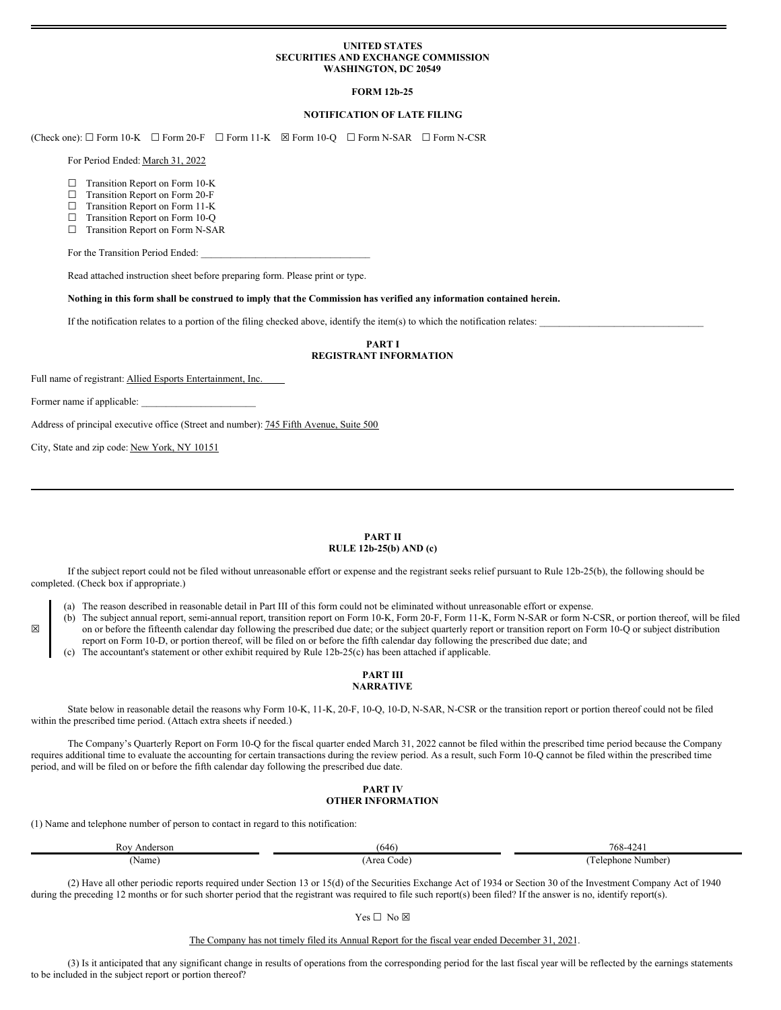### **UNITED STATES SECURITIES AND EXCHANGE COMMISSION WASHINGTON, DC 20549**

### **FORM 12b-25**

### **NOTIFICATION OF LATE FILING**

(Check one): ☐ Form 10-K ☐ Form 20-F ☐ Form 11-K ☒ Form 10-Q ☐ Form N-SAR ☐ Form N-CSR

For Period Ended: March 31, 2022

- □ Transition Report on Form 10-K
- ☐ Transition Report on Form 20-F
- ☐ Transition Report on Form 11-K
- ☐ Transition Report on Form 10-Q
- ☐ Transition Report on Form N-SAR

For the Transition Period Ended:

Read attached instruction sheet before preparing form. Please print or type.

Nothing in this form shall be construed to imply that the Commission has verified any information contained herein.

If the notification relates to a portion of the filing checked above, identify the item(s) to which the notification relates:

## **PART I REGISTRANT INFORMATION**

Full name of registrant: Allied Esports Entertainment, Inc.

Former name if applicable:

☒

Address of principal executive office (Street and number): 745 Fifth Avenue, Suite 500

City, State and zip code: New York, NY 10151

#### **PART II RULE 12b-25(b) AND (c)**

If the subject report could not be filed without unreasonable effort or expense and the registrant seeks relief pursuant to Rule 12b-25(b), the following should be completed. (Check box if appropriate.)

(a) The reason described in reasonable detail in Part III of this form could not be eliminated without unreasonable effort or expense.

- (b) The subject annual report, semi-annual report, transition report on Form 10-K, Form 20-F, Form 11-K, Form N-SAR or form N-CSR, or portion thereof, will be filed on or before the fifteenth calendar day following the prescribed due date; or the subject quarterly report or transition report on Form 10-Q or subject distribution report on Form 10-D, or portion thereof, will be filed on or before the fifth calendar day following the prescribed due date; and
- (c) The accountant's statement or other exhibit required by Rule 12b-25(c) has been attached if applicable.

#### **PART III NARRATIVE**

State below in reasonable detail the reasons why Form 10-K, 11-K, 20-F, 10-Q, 10-D, N-SAR, N-CSR or the transition report or portion thereof could not be filed within the prescribed time period. (Attach extra sheets if needed.)

The Company's Quarterly Report on Form 10-Q for the fiscal quarter ended March 31, 2022 cannot be filed within the prescribed time period because the Company requires additional time to evaluate the accounting for certain transactions during the review period. As a result, such Form 10-Q cannot be filed within the prescribed time period, and will be filed on or before the fifth calendar day following the prescribed due date.

## **PART IV OTHER INFORMATION**

(1) Name and telephone number of person to contact in regard to this notification:

| Roy<br>Anderson | (646        | 768-4241            |
|-----------------|-------------|---------------------|
| (Name)          | 'Area Code) | elephone.<br>Number |

(2) Have all other periodic reports required under Section 13 or 15(d) of the Securities Exchange Act of 1934 or Section 30 of the Investment Company Act of 1940 during the preceding 12 months or for such shorter period that the registrant was required to file such report(s) been filed? If the answer is no, identify report(s).

The Company has not timely filed its Annual Report for the fiscal year ended December 31, 2021.

(3) Is it anticipated that any significant change in results of operations from the corresponding period for the last fiscal year will be reflected by the earnings statements to be included in the subject report or portion thereof?